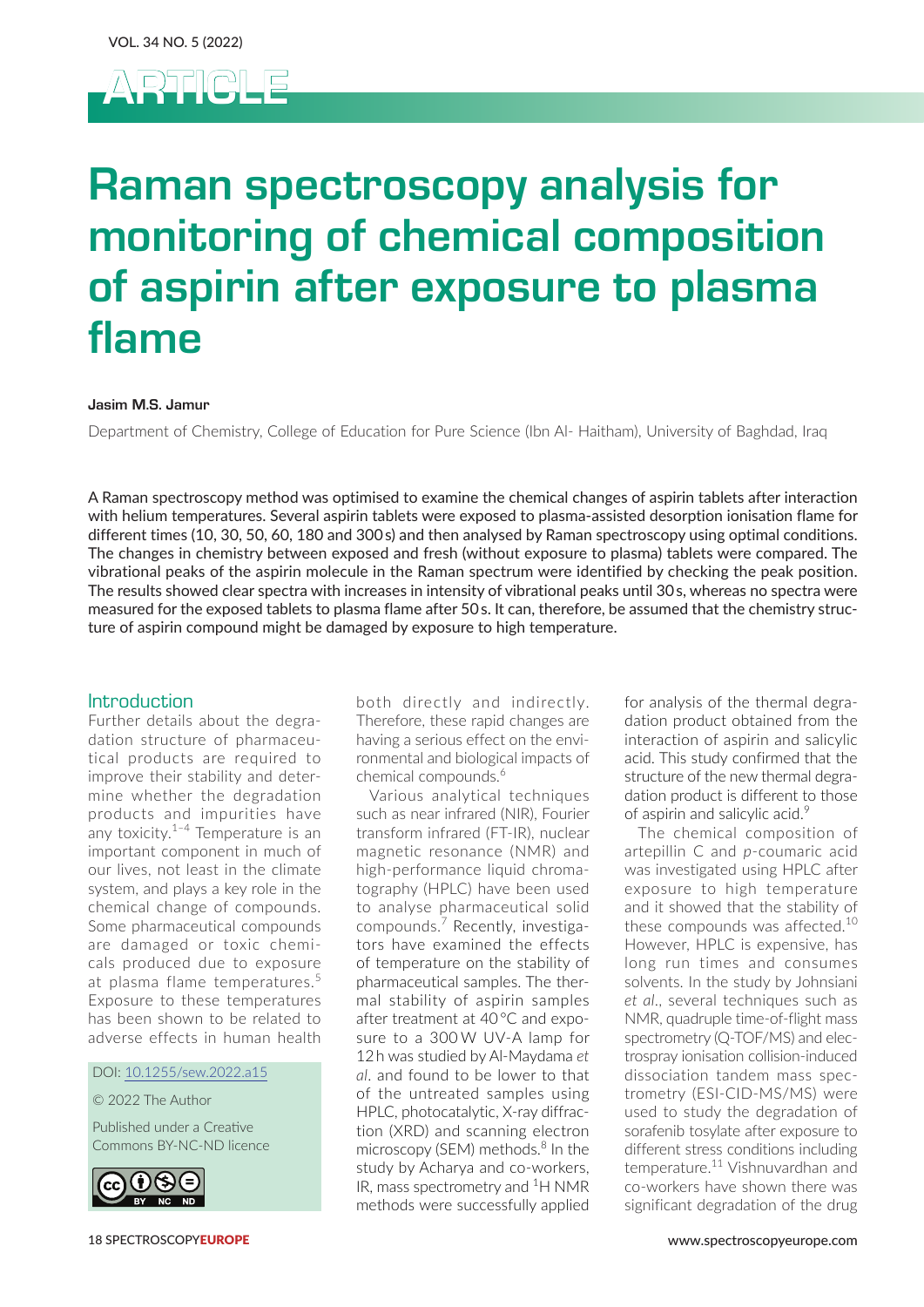

# Raman spectroscopy analysis for monitoring of chemical composition of aspirin after exposure to plasma flame

#### Jasim M.S. Jamur

Department of Chemistry, College of Education for Pure Science (Ibn Al- Haitham), University of Baghdad, Iraq

A Raman spectroscopy method was optimised to examine the chemical changes of aspirin tablets after interaction with helium temperatures. Several aspirin tablets were exposed to plasma-assisted desorption ionisation flame for different times (10, 30, 50, 60, 180 and 300s) and then analysed by Raman spectroscopy using optimal conditions. The changes in chemistry between exposed and fresh (without exposure to plasma) tablets were compared. The vibrational peaks of the aspirin molecule in the Raman spectrum were identified by checking the peak position. The results showed clear spectra with increases in intensity of vibrational peaks until 30s, whereas no spectra were measured for the exposed tablets to plasma flame after 50s. It can, therefore, be assumed that the chemistry structure of aspirin compound might be damaged by exposure to high temperature.

### Introduction

Further details about the degradation structure of pharmaceutical products are required to improve their stability and determine whether the degradation products and impurities have any toxicity. $1-4$  Temperature is an important component in much of our lives, not least in the climate system, and plays a key role in the chemical change of compounds. Some pharmaceutical compounds are damaged or toxic chemicals produced due to exposure at plasma flame temperatures.<sup>5</sup> Exposure to these temperatures has been shown to be related to adverse effects in human health

DOI: [10.1255/sew.2022.a](https://doi.org/10.1255/sew.2022.a15)15

© 2022 The Author

Published under a Creative Commons BY-NC-ND licence



both directly and indirectly. Therefore, these rapid changes are having a serious effect on the environmental and biological impacts of chemical compounds.<sup>6</sup>

Various analytical techniques such as near infrared (NIR), Fourier transform infrared (FT-IR), nuclear magnetic resonance (NMR) and high-performance liquid chromatography (HPLC) have been used to analyse pharmaceutical solid compounds.<sup>7</sup> Recently, investigators have examined the effects of temperature on the stability of pharmaceutical samples. The thermal stability of aspirin samples after treatment at 40 °C and exposure to a 300 W UV-A lamp for 12 h was studied by Al-Maydama *et al*. and found to be lower to that of the untreated samples using HPLC, photocatalytic, X-ray diffraction (XRD) and scanning electron microscopy (SEM) methods.<sup>8</sup> In the study by Acharya and co-workers, IR, mass spectrometry and <sup>1</sup>H NMR methods were successfully applied

for analysis of the thermal degradation product obtained from the interaction of aspirin and salicylic acid. This study confirmed that the structure of the new thermal degradation product is different to those of aspirin and salicylic acid.<sup>9</sup>

The chemical composition of artepillin C and *p*-coumaric acid was investigated using HPLC after exposure to high temperature and it showed that the stability of these compounds was affected.<sup>10</sup> However, HPLC is expensive, has long run times and consumes solvents. In the study by Johnsiani *et al*., several techniques such as NMR, quadruple time-of-flight mass spectrometry (Q-TOF/MS) and electrospray ionisation collision-induced dissociation tandem mass spectrometry (ESI-CID-MS/MS) were used to study the degradation of sorafenib tosylate after exposure to different stress conditions including temperature.11 Vishnuvardhan and co-workers have shown there was significant degradation of the drug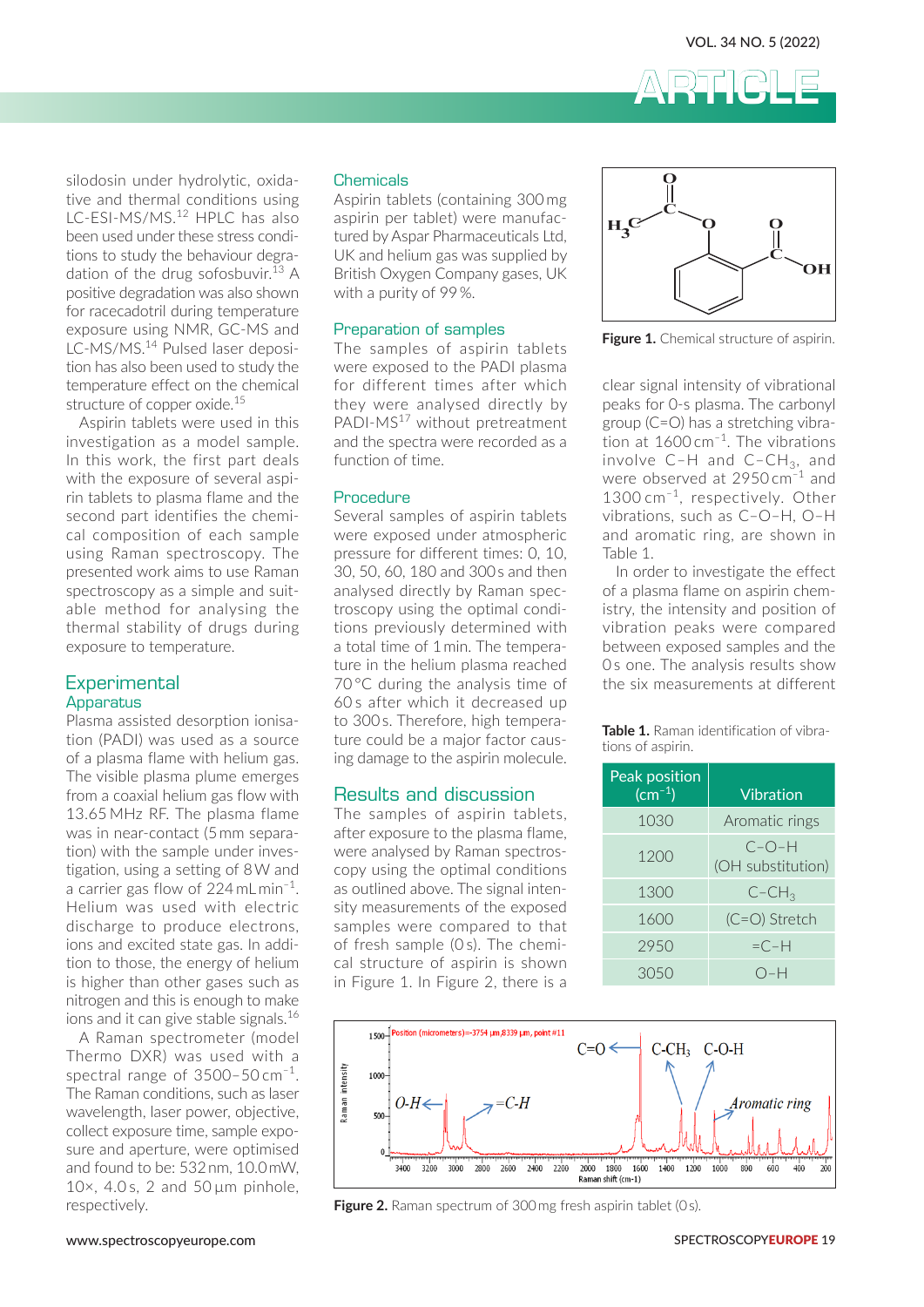

silodosin under hydrolytic, oxidative and thermal conditions using LC-FSI-MS/MS.<sup>12</sup> HPLC has also been used under these stress conditions to study the behaviour degradation of the drug sofosbuvir.<sup>13</sup> A positive degradation was also shown for racecadotril during temperature exposure using NMR, GC-MS and LC-MS/MS.14 Pulsed laser deposition has also been used to study the temperature effect on the chemical structure of copper oxide.<sup>15</sup>

Aspirin tablets were used in this investigation as a model sample. In this work, the first part deals with the exposure of several aspirin tablets to plasma flame and the second part identifies the chemical composition of each sample using Raman spectroscopy. The presented work aims to use Raman spectroscopy as a simple and suitable method for analysing the thermal stability of drugs during exposure to temperature.

# **Experimental** Apparatus

Plasma assisted desorption ionisation (PADI) was used as a source of a plasma flame with helium gas. The visible plasma plume emerges from a coaxial helium gas flow with 13.65 MHz RF. The plasma flame was in near-contact (5 mm separation) with the sample under investigation, using a setting of 8 W and a carrier gas flow of 224 mL min–1. Helium was used with electric discharge to produce electrons, ions and excited state gas. In addition to those, the energy of helium is higher than other gases such as nitrogen and this is enough to make ions and it can give stable signals.<sup>16</sup>

A Raman spectrometer (model Thermo DXR) was used with a spectral range of  $3500-50$  cm<sup>-1</sup>. The Raman conditions, such as laser wavelength, laser power, objective, collect exposure time, sample exposure and aperture, were optimised and found to be: 532 nm, 10.0 mW,  $10\times$ , 4.0 s, 2 and 50  $\mu$ m pinhole, respectively.

#### **Chemicals**

Aspirin tablets (containing 300 mg aspirin per tablet) were manufactured by Aspar Pharmaceuticals Ltd, UK and helium gas was supplied by British Oxygen Company gases, UK with a purity of 99%.

# Preparation of samples Figure 1. Chemical structure of aspirin.

The samples of aspirin tablets were exposed to the PADI plasma for different times after which they were analysed directly by PADI-MS<sup>17</sup> without pretreatment and the spectra were recorded as a function of time.

#### Procedure

Several samples of aspirin tablets were exposed under atmospheric pressure for different times: 0, 10, 30, 50, 60, 180 and 300 s and then analysed directly by Raman spectroscopy using the optimal conditions previously determined with a total time of 1 min. The temperature in the helium plasma reached 70 °C during the analysis time of 60 s after which it decreased up ours and minimum decreased up<br>to 300 s. Therefore, high temperature could be a major factor causing damage to the aspirin molecule.



Figure 1. Chemical structure of aspirin.

clear signal intensity of vibrational analysed directly by peaks for 0-s plasma. The carbonyl group (C=O) has a stretching vibration at  $1600 \, \text{cm}^{-1}$ . The vibrations involve  $C-H$  and  $C-CH_3$ , and were observed at  $2950 \, \text{cm}^{-1}$  and 1300 cm<sup>-1</sup>, respectively. Other  $v = 1000$  cm  $v = 1000$ , such as  $C-O-H$ ,  $O-H$  $\frac{1}{2}$  and aromatic ring, are shown in 10, Table 1.

> nen ln order to investigate the effect of a plasma flame on aspirin chemistry, the intensity and position of vith vibration peaks were compared era-<br>between exposed samples and the 0 s one. The analysis results show the six measurements at different

reference, ingerical peaks **Table 1.** Raman identification of vibrations of aspirin.

| $\overline{\mathfrak{n}}$ is dailedge. To the aspiritributeduc.           |                                  |                              |
|---------------------------------------------------------------------------|----------------------------------|------------------------------|
| Results and discussion                                                    | Peak position<br>$\rm (cm^{-1})$ | <b>Vibration</b>             |
| The samples of aspirin tablets,<br>after exposure to the plasma flame,    | 1030                             | Aromatic rings               |
| were analysed by Raman spectros-<br>copy using the optimal conditions     | 1200                             | $C-O-H$<br>(OH substitution) |
| as outlined above. The signal inten-                                      | 1300                             | $C$ -CH <sub>3</sub>         |
| sity measurements of the exposed<br>samples were compared to that         | 1600                             | $(C=O)$ Stretch              |
| of fresh sample (Os). The chemi-                                          | 2950                             | $=C-H$                       |
| cal structure of aspirin is shown<br>in Eigura 1 In Eigura $2$ thara is a | 3050                             | $O-H$                        |



**Figure 2.** Raman spectrum of 300 mg fresh aspirin tablet (0s).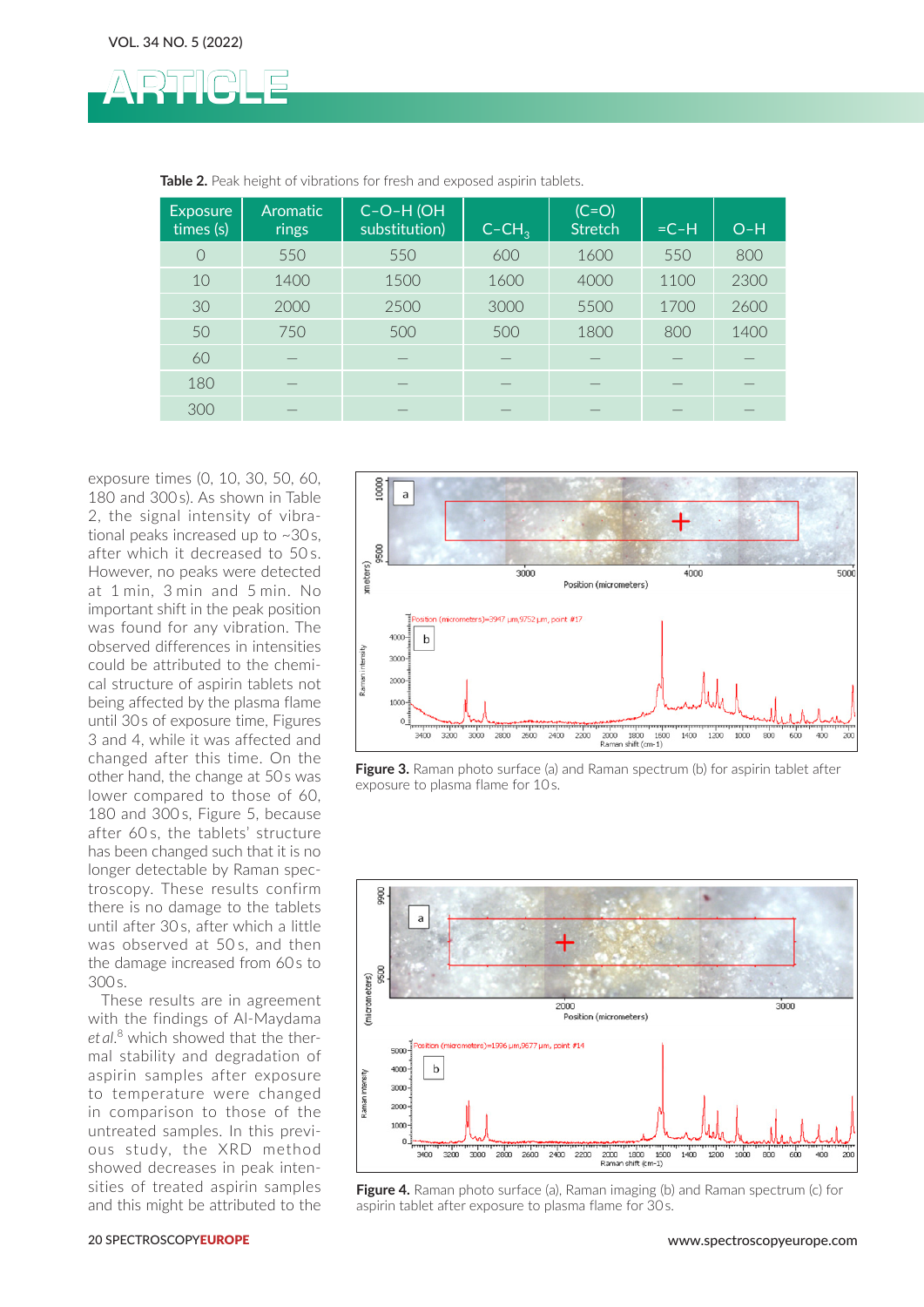

| <b>Exposure</b><br>times (s) | <b>Aromatic</b><br>rings | C-O-H (OH<br>substitution) | $C$ -CH <sub>3</sub> | $(C=O)$<br><b>Stretch</b> | $=C-H$ | $O-H$ |
|------------------------------|--------------------------|----------------------------|----------------------|---------------------------|--------|-------|
| $\bigcirc$                   | 550                      | 550                        | 600                  | 1600                      | 550    | 800   |
| 10                           | 1400                     | 1500                       | 1600                 | 4000                      | 1100   | 2300  |
| 30                           | 2000                     | 2500                       | 3000                 | 5500                      | 1700   | 2600  |
| 50                           | 750                      | 500                        | 500                  | 1800                      | 800    | 1400  |
| 60                           |                          |                            |                      |                           |        |       |
| 180                          |                          |                            |                      |                           |        |       |
| 300                          |                          |                            |                      |                           |        |       |

**Table 2.** Peak height of vibrations for fresh and exposed aspirin tablets.

exposure times (0, 10, 30, 50, 60, 180 and 300s). As shown in Table 2, the signal intensity of vibrational peaks increased up to ~30s, after which it decreased to 50 s. However, no peaks were detected at 1 min, 3 min and 5 min. No important shift in the peak position was found for any vibration. The observed differences in intensities could be attributed to the chemical structure of aspirin tablets not being affected by the plasma flame until 30s of exposure time, Figures 3 and 4, while it was affected and changed after this time. On the other hand, the change at 50s was lower compared to those of 60. 180 and 300 s, Figure 5, because after 60 s, the tablets' structure has been changed such that it is no longer detectable by Raman spectroscopy. These results confirm there is no damage to the tablets until after 30 s, after which a little was observed at 50 s, and then the damage increased from 60 s to 300s.

These results are in agreement with the findings of Al-Maydama *et al*. 8 which showed that the thermal stability and degradation of aspirin samples after exposure to temperature were changed in comparison to those of the untreated samples. In this previous study, the XRD method showed decreases in peak intensities of treated aspirin samples and this might be attributed to the



**Figure 3.** Raman photo surface (a) and Raman spectrum (b) for aspirin tablet after exposure to plasma flame for 10 s.



**Figure 4.** Raman photo surface (a), Raman imaging (b) and Raman spectrum (c) for aspirin tablet after exposure to plasma flame for 30 s.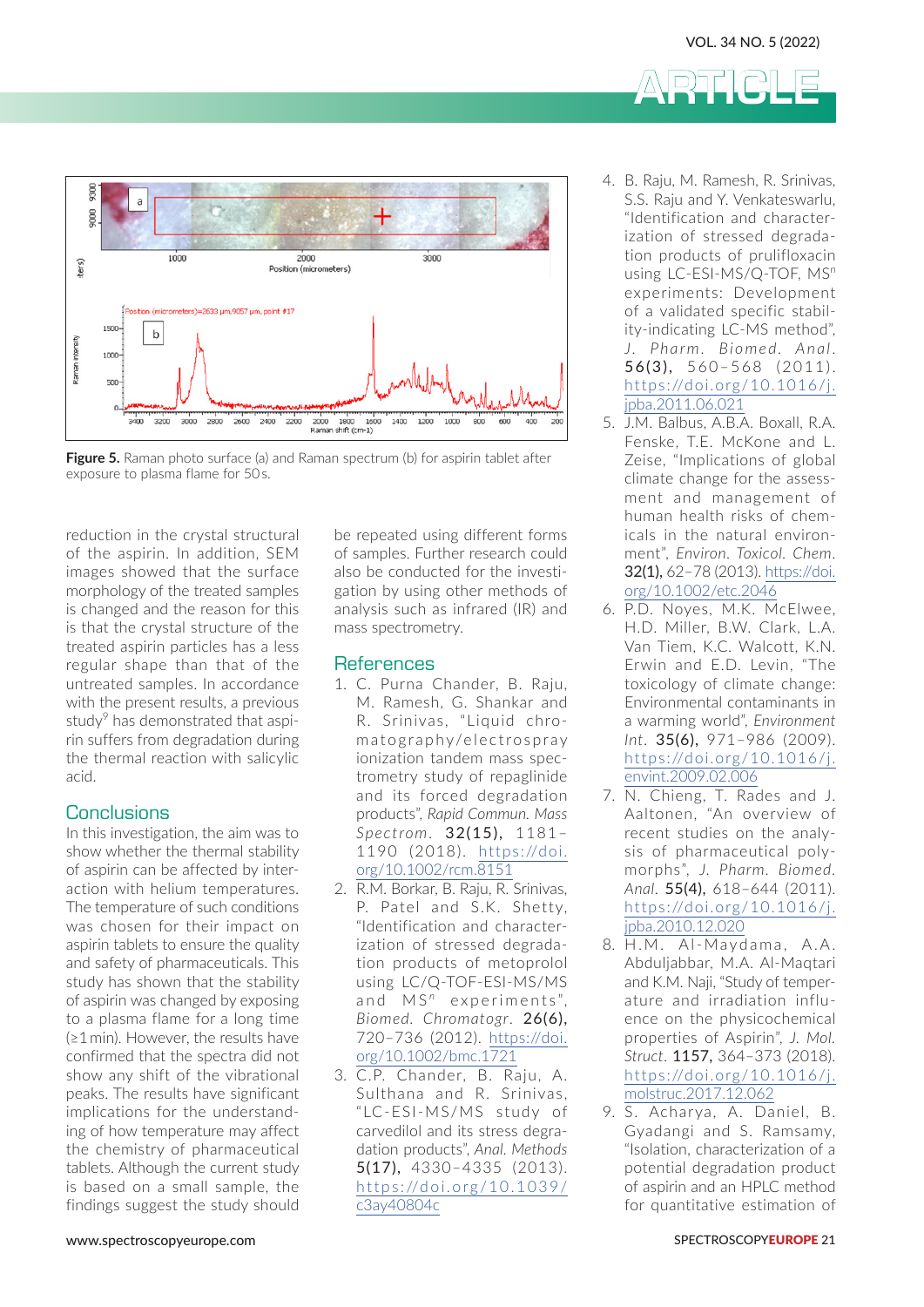ARTICLE



**Figure 5.** Raman photo surface (a) and Raman spectrum (b) for aspirin tablet after exposure to plasma flame for 50 s.

reduction in the crystal structural of the aspirin. In addition, SEM images showed that the surface morphology of the treated samples is changed and the reason for this is that the crystal structure of the treated aspirin particles has a less regular shape than that of the untreated samples. In accordance with the present results, a previous study<sup>9</sup> has demonstrated that aspirin suffers from degradation during the thermal reaction with salicylic acid.

# **Conclusions**

In this investigation, the aim was to show whether the thermal stability of aspirin can be affected by interaction with helium temperatures. The temperature of such conditions was chosen for their impact on aspirin tablets to ensure the quality and safety of pharmaceuticals. This study has shown that the stability of aspirin was changed by exposing to a plasma flame for a long time (≥1 min). However, the results have confirmed that the spectra did not show any shift of the vibrational peaks. The results have significant implications for the understanding of how temperature may affect the chemistry of pharmaceutical tablets. Although the current study is based on a small sample, the findings suggest the study should

be repeated using different forms of samples. Further research could also be conducted for the investigation by using other methods of analysis such as infrared (IR) and mass spectrometry.

# **References**

- 1. C. Purna Chander, B. Raju, M. Ramesh, G. Shankar and R. Srinivas, "Liquid chromatography/electrospray ionization tandem mass spectrometry study of repaglinide and its forced degradation products", *Rapid Commun. Mass Spectrom*. 32(15), 1181– 1190 (2018). [https://doi.](https://doi.org/10.1002/rcm.8151) [org/10.1002/rcm.8151](https://doi.org/10.1002/rcm.8151)
- 2. R.M. Borkar, B. Raju, R. Srinivas, P. Patel and S.K. Shetty, "Identification and characterization of stressed degradation products of metoprolol using LC/Q-TOF-ESI-MS/MS and MS<sup>n</sup> experiments". *Biomed. Chromatogr*. 26(6), 720–736 (2012). [https://doi.](https://doi.org/10.1002/bmc.1721) [org/10.1002/bmc.1721](https://doi.org/10.1002/bmc.1721)
- 3. C.P. Chander, B. Raju, A. Sulthana and R. Srinivas, "LC-ESI-MS/MS study of carvedilol and its stress degradation products", *Anal. Methods* 5(17), 4330–4335 (2013). [https://doi.org/10.1039/](https://doi.org/10.1039/c3ay40804c) [c3ay40804c](https://doi.org/10.1039/c3ay40804c)
- 4. B. Raju, M. Ramesh, R. Srinivas, S.S. Raju and Y. Venkateswarlu, "Identification and characterization of stressed degradation products of prulifloxacin using LC-ESI-MS/Q-TOF, MS*<sup>n</sup>* experiments: Development of a validated specific stability-indicating LC-MS method", *J. Pharm. Biomed. Anal* . 56(3), 560–568 (2011). [https://doi.org/10.1016/j.](https://doi.org/10.1016/j.jpba.2011.06.021) [jpba.2011.06.021](https://doi.org/10.1016/j.jpba.2011.06.021)
- 5. J.M. Balbus, A.B.A. Boxall, R.A. Fenske, T.E. McKone and L. Zeise, "Implications of global climate change for the assessment and management of human health risks of chemicals in the natural environment", *Environ. Toxicol. Chem*. 32(1), 62–78 (2013). [https://doi.](https://doi.org/10.1002/etc.2046) [org/10.1002/etc.2046](https://doi.org/10.1002/etc.2046)
- 6. P.D. Noyes, M.K. McElwee, H.D. Miller, B.W. Clark, L.A. Van Tiem, K.C. Walcott, K.N. Erwin and E.D. Levin, "The toxicology of climate change: Environmental contaminants in a warming world", *Environment Int*. 35(6), 971–986 (2009). [https://doi.org/10.1016/j.](https://doi.org/10.1016/j.envint.2009.02.006) [envint.2009.02.006](https://doi.org/10.1016/j.envint.2009.02.006)
- 7. N. Chieng, T. Rades and J. Aaltonen, "An overview of recent studies on the analysis of pharmaceutical polymorphs", *J. Pharm. Biomed. Anal*. 55(4), 618–644 (2011). [https://doi.org/10.1016/j.](https://doi.org/10.1016/j.jpba.2010.12.020) [jpba.2010.12.020](https://doi.org/10.1016/j.jpba.2010.12.020)
- 8. H.M. Al-Maydama, A.A. Abduljabbar, M.A. Al-Maqtari and K.M. Naji, "Study of temperature and irradiation influence on the physicochemical properties of Aspirin", *J. Mol. Struct*. 1157, 364–373 (2018). [https://doi.org/10.1016/j.](https://doi.org/10.1016/j.molstruc.2017.12.062) [molstruc.2017.12.062](https://doi.org/10.1016/j.molstruc.2017.12.062)
- 9. S. Acharya, A. Daniel, B. Gyadangi and S. Ramsamy, "Isolation, characterization of a potential degradation product of aspirin and an HPLC method for quantitative estimation of